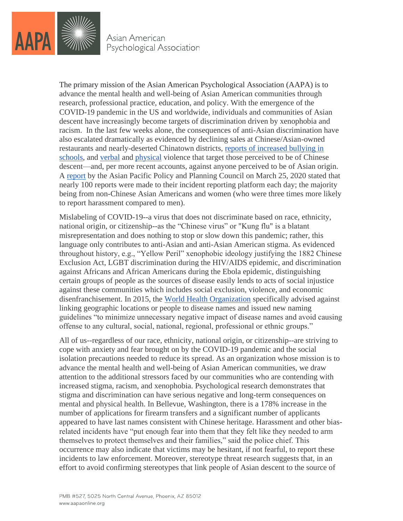

Asian American Psychological Association

The primary mission of the Asian American Psychological Association (AAPA) is to advance the mental health and well-being of Asian American communities through research, professional practice, education, and policy. With the emergence of the COVID-19 pandemic in the US and worldwide, individuals and communities of Asian descent have increasingly become targets of discrimination driven by xenophobia and racism. In the last few weeks alone, the consequences of anti-Asian discrimination have also escalated dramatically as evidenced by declining sales at Chinese/Asian-owned restaurants and nearly-deserted Chinatown districts, [reports of increased bullying in](https://www.cbsnews.com/news/coronavirus-bullies-attack-asian-teen-los-angeles-accusing-him-of-having-coronavirus/)  [schools,](https://www.cbsnews.com/news/coronavirus-bullies-attack-asian-teen-los-angeles-accusing-him-of-having-coronavirus/) and [verbal](https://www.nytimes.com/2020/03/23/us/chinese-coronavirus-racist-attacks.html) and [physical](https://www.cbs7.com/content/news/FIRST-ON-CBS7-Suspect-admitted-to-trying-to-kill-family-at-Midland-Sams-Club-affidavit-says-568837371.html) violence that target those perceived to be of Chinese descent—and, per more recent accounts, against anyone perceived to be of Asian origin. A [report](http://www.asianpacificpolicyandplanningcouncil.org/wp-content/uploads/A3PCON_Public_Weekly_Report_3.pdf) by the Asian Pacific Policy and Planning Council on March 25, 2020 stated that nearly 100 reports were made to their incident reporting platform each day; the majority being from non-Chinese Asian Americans and women (who were three times more likely to report harassment compared to men).

Mislabeling of COVID-19--a virus that does not discriminate based on race, ethnicity, national origin, or citizenship--as the "Chinese virus" or "Kung flu" is a blatant misrepresentation and does nothing to stop or slow down this pandemic; rather, this language only contributes to anti-Asian and anti-Asian American stigma. As evidenced throughout history, e.g., "Yellow Peril" xenophobic ideology justifying the 1882 Chinese Exclusion Act, LGBT discrimination during the HIV/AIDS epidemic, and discrimination against Africans and African Americans during the Ebola epidemic, distinguishing certain groups of people as the sources of disease easily lends to acts of social injustice against these communities which includes social exclusion, violence, and economic disenfranchisement. In 2015, the [World Health Organization](https://science.sciencemag.org/content/348/6235/643.full?ijkey=pdxM0h29CQNt.&keytype=ref&siteid=sci) specifically advised against linking geographic locations or people to disease names and issued new naming guidelines "to minimize unnecessary negative impact of disease names and avoid causing offense to any cultural, social, national, regional, professional or ethnic groups."

All of us--regardless of our race, ethnicity, national origin, or citizenship--are striving to cope with anxiety and fear brought on by the COVID-19 pandemic and the social isolation precautions needed to reduce its spread. As an organization whose mission is to advance the mental health and well-being of Asian American communities, we draw attention to the additional stressors faced by our communities who are contending with increased stigma, racism, and xenophobia. Psychological research demonstrates that stigma and discrimination can have serious negative and long-term consequences on mental and physical health. In Bellevue, Washington, there is a 178% increase in the number of applications for firearm transfers and a significant number of applicants appeared to have last names consistent with Chinese heritage. Harassment and other biasrelated incidents have "put enough fear into them that they felt like they needed to arm themselves to protect themselves and their families," said the police chief. This occurrence may also indicate that victims may be hesitant, if not fearful, to report these incidents to law enforcement. Moreover, stereotype threat research suggests that, in an effort to avoid confirming stereotypes that link people of Asian descent to the source of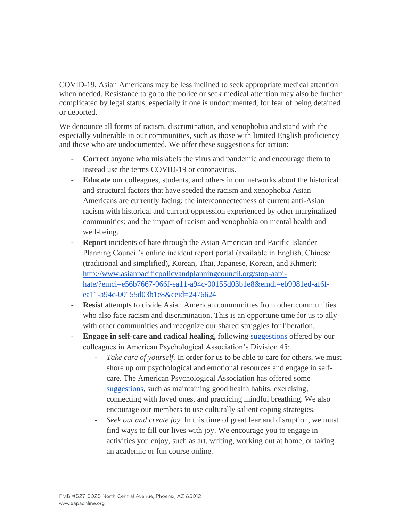COVID-19, Asian Americans may be less inclined to seek appropriate medical attention when needed. Resistance to go to the police or seek medical attention may also be further complicated by legal status, especially if one is undocumented, for fear of being detained or deported.

We denounce all forms of racism, discrimination, and xenophobia and stand with the especially vulnerable in our communities, such as those with limited English proficiency and those who are undocumented. We offer these suggestions for action:

- **Correct** anyone who mislabels the virus and pandemic and encourage them to instead use the terms COVID-19 or coronavirus.
- **Educate** our colleagues, students, and others in our networks about the historical and structural factors that have seeded the racism and xenophobia Asian Americans are currently facing; the interconnectedness of current anti-Asian racism with historical and current oppression experienced by other marginalized communities; and the impact of racism and xenophobia on mental health and well-being.
- **Report** incidents of hate through the Asian American and Pacific Islander Planning Council's online incident report portal (available in English, Chinese (traditional and simplified), Korean, Thai, Japanese, Korean, and Khmer): [http://www.asianpacificpolicyandplanningcouncil.org/stop-aapi](http://www.asianpacificpolicyandplanningcouncil.org/stop-aapi-hate/?emci=e56b7667-966f-ea11-a94c-00155d03b1e8&emdi=eb9981ed-af6f-ea11-a94c-00155d03b1e8&ceid=2476624)[hate/?emci=e56b7667-966f-ea11-a94c-00155d03b1e8&emdi=eb9981ed-af6f](http://www.asianpacificpolicyandplanningcouncil.org/stop-aapi-hate/?emci=e56b7667-966f-ea11-a94c-00155d03b1e8&emdi=eb9981ed-af6f-ea11-a94c-00155d03b1e8&ceid=2476624)[ea11-a94c-00155d03b1e8&ceid=2476624](http://www.asianpacificpolicyandplanningcouncil.org/stop-aapi-hate/?emci=e56b7667-966f-ea11-a94c-00155d03b1e8&emdi=eb9981ed-af6f-ea11-a94c-00155d03b1e8&ceid=2476624)
- **Resist** attempts to divide Asian American communities from other communities who also face racism and discrimination. This is an opportune time for us to ally with other communities and recognize our shared struggles for liberation.
- **Engage in self-care and radical healing,** following [suggestions](https://www.psychologytoday.com/us/blog/healing-through-social-justice/201911/radical-self-care-in-the-face-mounting-racial-stress) offered by our colleagues in American Psychological Association's Division 45:
	- Take care of yourself. In order for us to be able to care for others, we must shore up our psychological and emotional resources and engage in selfcare. The American Psychological Association has offered some [suggestions,](https://www.apaservices.org/practice/ce/self-care/health-providers-covid-19?_ga=2.148889854.894236035.1585409724-1792950148.1413857388) such as maintaining good health habits, exercising, connecting with loved ones, and practicing mindful breathing. We also encourage our members to use culturally salient coping strategies.
	- Seek out and create joy. In this time of great fear and disruption, we must find ways to fill our lives with joy. We encourage you to engage in activities you enjoy, such as art, writing, working out at home, or taking an academic or fun course online.